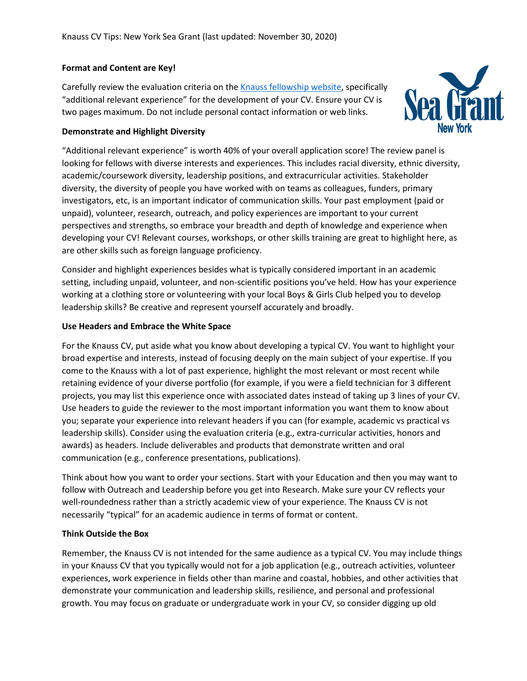## **Format and Content are Key!**

Carefully review the evaluation criteria on th[e Knauss fellowship website,](https://seagrant.noaa.gov/insideseagrant/Knauss-Fellowship/Prospective-Fellows) specifically "additional relevant experience" for the development of your CV. Ensure your CV is two pages maximum. Do not include personal contact information or web links.



#### **Demonstrate and Highlight Diversity**

"Additional relevant experience" is worth 40% of your overall application score! The review panel is looking for fellows with diverse interests and experiences. This includes racial diversity, ethnic diversity, academic/coursework diversity, leadership positions, and extracurricular activities. Stakeholder diversity, the diversity of people you have worked with on teams as colleagues, funders, primary investigators, etc, is an important indicator of communication skills. Your past employment (paid or unpaid), volunteer, research, outreach, and policy experiences are important to your current perspectives and strengths, so embrace your breadth and depth of knowledge and experience when developing your CV! Relevant courses, workshops, or other skills training are great to highlight here, as are other skills such as foreign language proficiency.

Consider and highlight experiences besides what is typically considered important in an academic setting, including unpaid, volunteer, and non-scientific positions you've held. How has your experience working at a clothing store or volunteering with your local Boys & Girls Club helped you to develop leadership skills? Be creative and represent yourself accurately and broadly.

## **Use Headers and Embrace the White Space**

For the Knauss CV, put aside what you know about developing a typical CV. You want to highlight your broad expertise and interests, instead of focusing deeply on the main subject of your expertise. If you come to the Knauss with a lot of past experience, highlight the most relevant or most recent while retaining evidence of your diverse portfolio (for example, if you were a field technician for 3 different projects, you may list this experience once with associated dates instead of taking up 3 lines of your CV. Use headers to guide the reviewer to the most important information you want them to know about you; separate your experience into relevant headers if you can (for example, academic vs practical vs leadership skills). Consider using the evaluation criteria (e.g., extra-curricular activities, honors and awards) as headers. Include deliverables and products that demonstrate written and oral communication (e.g., conference presentations, publications).

Think about how you want to order your sections. Start with your Education and then you may want to follow with Outreach and Leadership before you get into Research. Make sure your CV reflects your well-roundedness rather than a strictly academic view of your experience. The Knauss CV is not necessarily "typical" for an academic audience in terms of format or content.

# **Think Outside the Box**

Remember, the Knauss CV is not intended for the same audience as a typical CV. You may include things in your Knauss CV that you typically would not for a job application (e.g., outreach activities, volunteer experiences, work experience in fields other than marine and coastal, hobbies, and other activities that demonstrate your communication and leadership skills, resilience, and personal and professional growth. You may focus on graduate or undergraduate work in your CV, so consider digging up old